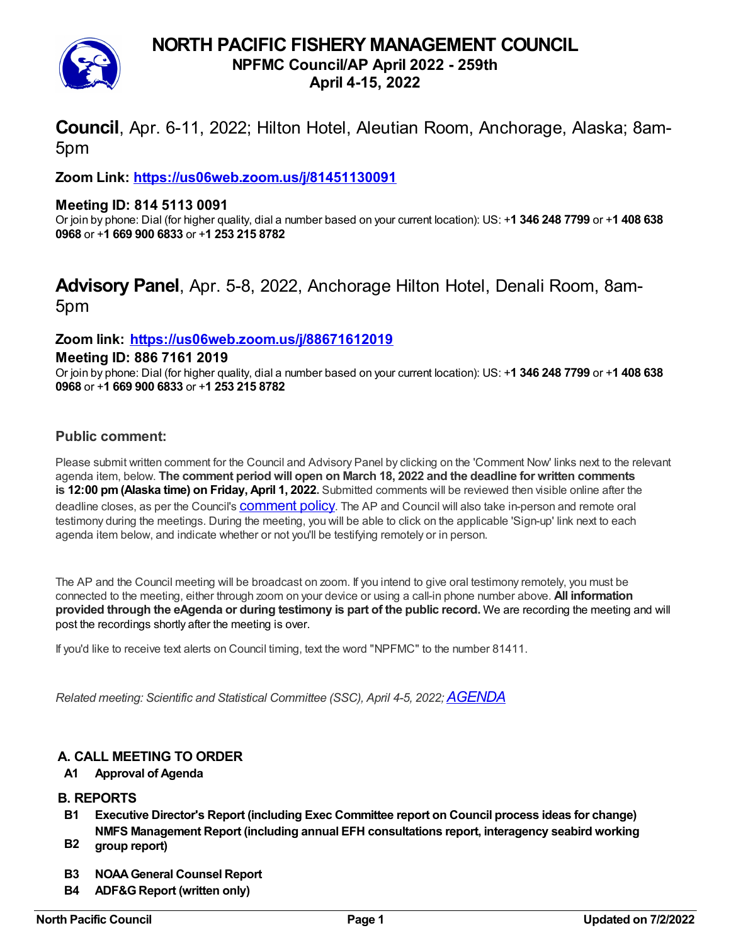# **NORTH PACIFIC FISHERY MANAGEMENT COUNCIL**



## **NPFMC Council/AP April 2022 - 259th**

**April 4-15, 2022**

**Council**, Apr. 6-11, 2022; Hilton Hotel, Aleutian Room, Anchorage, Alaska; 8am-5pm

**Zoom Link: <https://us06web.zoom.us/j/81451130091>**

### **Meeting ID: 814 5113 0091**

Or join by phone: Dial (for higher quality, dial a number based on your current location): US: +**1 346 248 7799** or +**1 408 638 0968** or +**1 669 900 6833** or +**1 253 215 8782**

# **Advisory Panel**, Apr. 5-8, 2022, Anchorage Hilton Hotel, Denali Room, 8am-5pm

## **Zoom link: <https://us06web.zoom.us/j/88671612019>**

#### **Meeting ID: 886 7161 2019**

Or join by phone: Dial (for higher quality, dial a number based on your current location): US: +**1 346 248 7799** or +**1 408 638 0968** or +**1 669 900 6833** or +**1 253 215 8782**

### **Public comment:**

Please submit written comment for the Council and Advisory Panel by clicking on the 'Comment Now' links next to the relevant agenda item, below. **The comment period will open on March 18, 2022 and the deadline for written comments is 12:00 pm(Alaska time) on Friday, April 1, 2022.** Submitted comments will be reviewed then visible online after the deadline closes, as per the Council's **[comment](https://www.npfmc.org/public-comment-policy/) policy**. The AP and Council will also take in-person and remote oral testimony during the meetings. During the meeting, you will be able to click on the applicable 'Sign-up' link next to each agenda item below, and indicate whether or not you'll be testifying remotely or in person.

The AP and the Council meeting will be broadcast on zoom. If you intend to give oral testimony remotely, you must be connected to the meeting, either through zoom on your device or using a call-in phone number above. **All information provided through the eAgenda or during testimony is part of the public record.** We are recording the meeting and will post the recordings shortly after the meeting is over.

If you'd like to receive text alerts on Council timing, text the word "NPFMC" to the number 81411.

*Related meeting: Scientific and Statistical Committee (SSC), April 4-5, 2022;[AGENDA](https://meetings.npfmc.org/2855)*

#### **A. CALL MEETING TO ORDER**

#### **A1 Approval of Agenda**

#### **B. REPORTS**

- **B1 Executive Director's Report (including Exec Committee report on Council process ideas for change) NMFS Management Report (including annual EFH consultations report, interagency seabird working**
- **B2 group report)**
- **B3 NOAAGeneral Counsel Report**
- **B4 ADF&GReport (written only)**